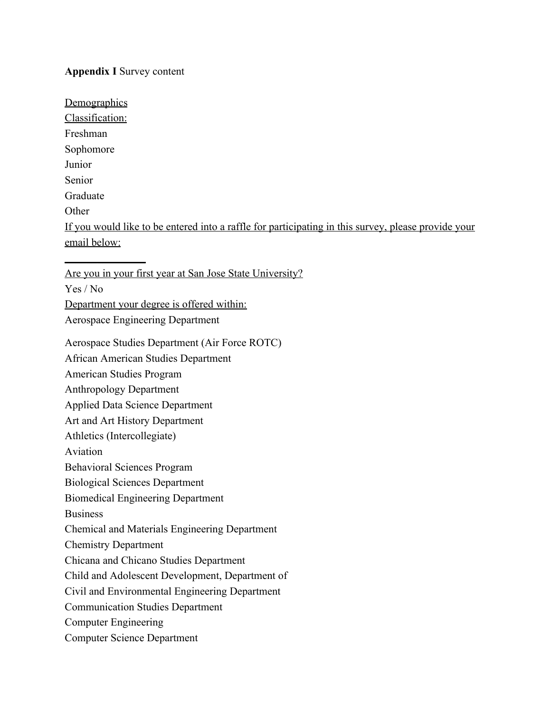## **Appendix I** Survey content

**Demographics** Classification: Freshman Sophomore Junior Senior Graduate **Other** If you would like to be entered into a raffle for participating in this survey, please provide your email below:  $\overline{\phantom{a}}$  , where  $\overline{\phantom{a}}$ Are you in your first year at San Jose State University?

Yes / No

Department your degree is offered within:

Aerospace Engineering Department

Aerospace Studies Department (Air Force ROTC)

African American Studies Department

American Studies Program

Anthropology Department

Applied Data Science Department

Art and Art History Department

Athletics (Intercollegiate)

Aviation

Behavioral Sciences Program

Biological Sciences Department

Biomedical Engineering Department

Business

Chemical and Materials Engineering Department

Chemistry Department

Chicana and Chicano Studies Department

Child and Adolescent Development, Department of

Civil and Environmental Engineering Department

Communication Studies Department

Computer Engineering

Computer Science Department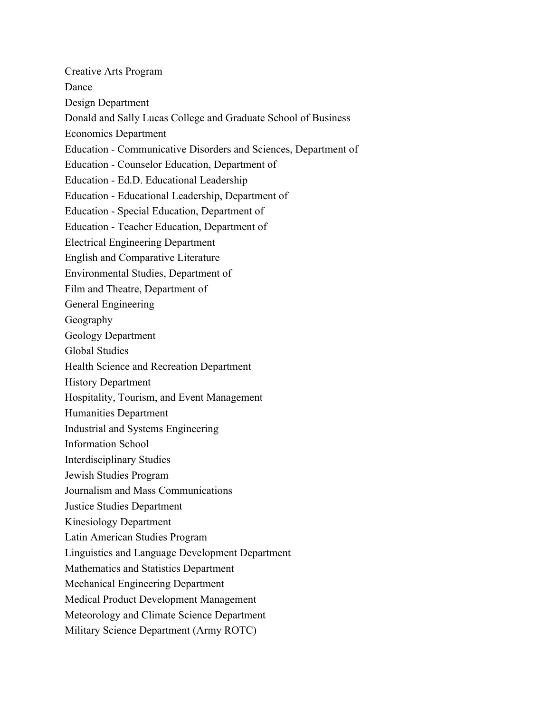Creative Arts Program Dance Design Department Donald and Sally Lucas College and Graduate School of Business Economics Department Education - Communicative Disorders and Sciences, Department of Education - Counselor Education, Department of Education - Ed.D. Educational Leadership Education - Educational Leadership, Department of Education - Special Education, Department of Education - Teacher Education, Department of Electrical Engineering Department English and Comparative Literature Environmental Studies, Department of Film and Theatre, Department of General Engineering Geography Geology Department Global Studies Health Science and Recreation Department History Department Hospitality, Tourism, and Event Management Humanities Department Industrial and Systems Engineering Information School Interdisciplinary Studies Jewish Studies Program Journalism and Mass Communications Justice Studies Department Kinesiology Department Latin American Studies Program Linguistics and Language Development Department Mathematics and Statistics Department Mechanical Engineering Department Medical Product Development Management Meteorology and Climate Science Department Military Science Department (Army ROTC)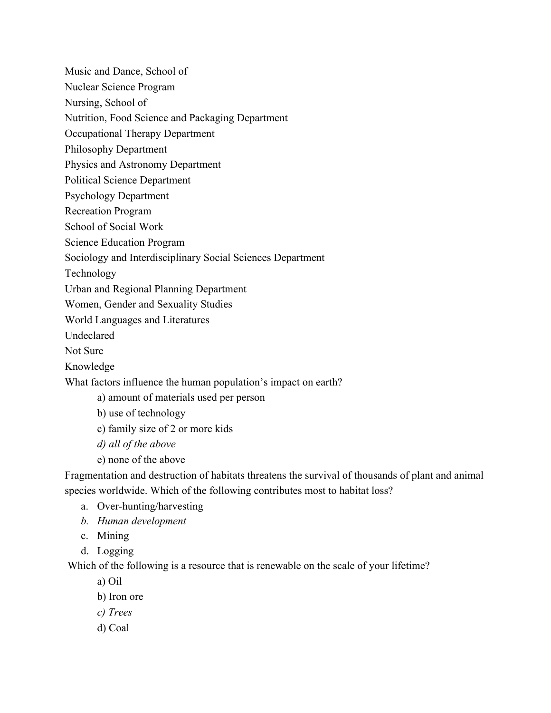Music and Dance, School of

Nuclear Science Program

Nursing, School of

Nutrition, Food Science and Packaging Department

Occupational Therapy Department

Philosophy Department

Physics and Astronomy Department

Political Science Department

Psychology Department

Recreation Program

School of Social Work

Science Education Program

Sociology and Interdisciplinary Social Sciences Department

Technology

Urban and Regional Planning Department

Women, Gender and Sexuality Studies

World Languages and Literatures

Undeclared

Not Sure

Knowledge

What factors influence the human population's impact on earth?

a) amount of materials used per person

b) use of technology

c) family size of 2 or more kids

*d) all of the above*

e) none of the above

Fragmentation and destruction of habitats threatens the survival of thousands of plant and animal species worldwide. Which of the following contributes most to habitat loss?

- a. Over-hunting/harvesting
- *b. Human development*
- c. Mining
- d. Logging

Which of the following is a resource that is renewable on the scale of your lifetime?

- a) Oil
- b) Iron ore
- *c) Trees*
- d) Coal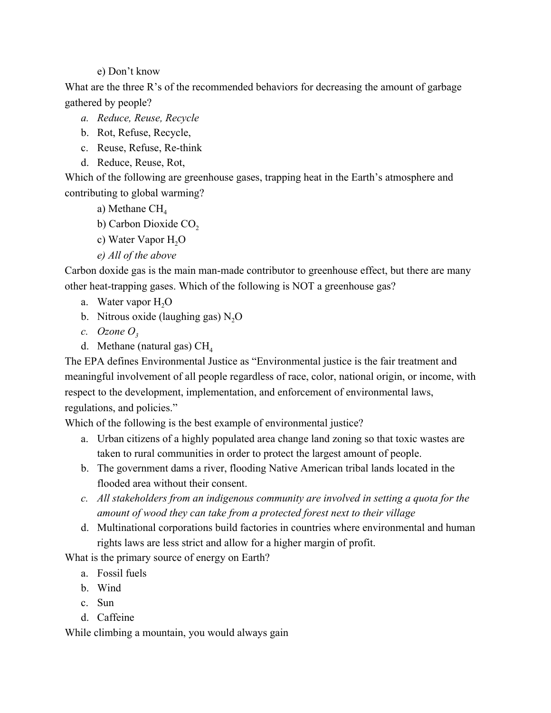e) Don't know

What are the three R's of the recommended behaviors for decreasing the amount of garbage gathered by people?

- *a. Reduce, Reuse, Recycle*
- b. Rot, Refuse, Recycle,
- c. Reuse, Refuse, Re-think
- d. Reduce, Reuse, Rot,

Which of the following are greenhouse gases, trapping heat in the Earth's atmosphere and contributing to global warming?

- a) Methane  $CH<sub>4</sub>$
- b) Carbon Dioxide CO<sub>2</sub>
- c) Water Vapor H<sub>2</sub>O
- *e) All of the above*

Carbon doxide gas is the main man-made contributor to greenhouse effect, but there are many other heat-trapping gases. Which of the following is NOT a greenhouse gas?

- a. Water vapor H<sub>2</sub>O
- b. Nitrous oxide (laughing gas)  $N<sub>2</sub>O$
- *c. Ozone*  $O_3$
- d. Methane (natural gas)  $CH<sub>4</sub>$

The EPA defines Environmental Justice as "Environmental justice is the fair treatment and meaningful involvement of all people regardless of race, color, national origin, or income, with respect to the development, implementation, and enforcement of environmental laws, regulations, and policies."

Which of the following is the best example of environmental justice?

- a. Urban citizens of a highly populated area change land zoning so that toxic wastes are taken to rural communities in order to protect the largest amount of people.
- b. The government dams a river, flooding Native American tribal lands located in the flooded area without their consent.
- *c. All stakeholders from an indigenous community are involved in setting a quota for the amount of wood they can take from a protected forest next to their village*
- d. Multinational corporations build factories in countries where environmental and human rights laws are less strict and allow for a higher margin of profit.

What is the primary source of energy on Earth?

- a. Fossil fuels
- b. Wind
- c. Sun
- d. Caffeine

While climbing a mountain, you would always gain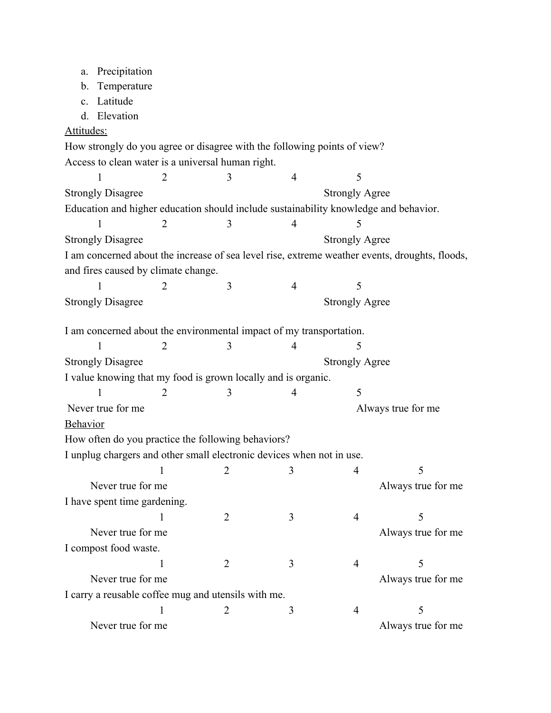| a.                                                                    | Precipitation                       |                                                   |                                                                          |                       |                       |                                                                                                |  |
|-----------------------------------------------------------------------|-------------------------------------|---------------------------------------------------|--------------------------------------------------------------------------|-----------------------|-----------------------|------------------------------------------------------------------------------------------------|--|
| b.                                                                    | Temperature                         |                                                   |                                                                          |                       |                       |                                                                                                |  |
| c.                                                                    | Latitude                            |                                                   |                                                                          |                       |                       |                                                                                                |  |
| d.                                                                    | Elevation                           |                                                   |                                                                          |                       |                       |                                                                                                |  |
| Attitudes:                                                            |                                     |                                                   |                                                                          |                       |                       |                                                                                                |  |
|                                                                       |                                     |                                                   | How strongly do you agree or disagree with the following points of view? |                       |                       |                                                                                                |  |
|                                                                       |                                     | Access to clean water is a universal human right. |                                                                          |                       |                       |                                                                                                |  |
|                                                                       | 1                                   | 2                                                 | 3                                                                        | $\overline{4}$        | 5                     |                                                                                                |  |
| <b>Strongly Agree</b><br><b>Strongly Disagree</b>                     |                                     |                                                   |                                                                          |                       |                       |                                                                                                |  |
|                                                                       |                                     |                                                   |                                                                          |                       |                       | Education and higher education should include sustainability knowledge and behavior.           |  |
|                                                                       |                                     | 2                                                 | 3                                                                        | 4                     | 5                     |                                                                                                |  |
| <b>Strongly Disagree</b>                                              |                                     |                                                   |                                                                          | <b>Strongly Agree</b> |                       |                                                                                                |  |
|                                                                       |                                     |                                                   |                                                                          |                       |                       | I am concerned about the increase of sea level rise, extreme weather events, droughts, floods, |  |
|                                                                       | and fires caused by climate change. |                                                   |                                                                          |                       |                       |                                                                                                |  |
|                                                                       |                                     | 2                                                 | 3                                                                        | $\overline{4}$        | 5                     |                                                                                                |  |
| <b>Strongly Disagree</b>                                              |                                     |                                                   |                                                                          |                       | <b>Strongly Agree</b> |                                                                                                |  |
|                                                                       |                                     |                                                   | I am concerned about the environmental impact of my transportation.      |                       |                       |                                                                                                |  |
|                                                                       | 1                                   | $\overline{2}$                                    | 3                                                                        | 4                     | 5                     |                                                                                                |  |
| <b>Strongly Disagree</b>                                              |                                     |                                                   |                                                                          | <b>Strongly Agree</b> |                       |                                                                                                |  |
| I value knowing that my food is grown locally and is organic.         |                                     |                                                   |                                                                          |                       |                       |                                                                                                |  |
|                                                                       | 1                                   | $\overline{2}$                                    | 3                                                                        | $\overline{4}$        | 5                     |                                                                                                |  |
| Never true for me                                                     |                                     |                                                   |                                                                          |                       | Always true for me    |                                                                                                |  |
| <b>Behavior</b>                                                       |                                     |                                                   |                                                                          |                       |                       |                                                                                                |  |
|                                                                       |                                     |                                                   | How often do you practice the following behaviors?                       |                       |                       |                                                                                                |  |
| I unplug chargers and other small electronic devices when not in use. |                                     |                                                   |                                                                          |                       |                       |                                                                                                |  |
|                                                                       |                                     | $\overline{\phantom{0}}$ 2                        |                                                                          | 3                     | 4                     |                                                                                                |  |
|                                                                       | Never true for me                   |                                                   |                                                                          |                       |                       | Always true for me                                                                             |  |
| I have spent time gardening.                                          |                                     |                                                   |                                                                          |                       |                       |                                                                                                |  |
|                                                                       |                                     | 1                                                 | $\overline{2}$                                                           | 3                     | 4                     | 5                                                                                              |  |
|                                                                       | Never true for me                   |                                                   |                                                                          |                       |                       | Always true for me                                                                             |  |
|                                                                       | I compost food waste.               |                                                   |                                                                          |                       |                       |                                                                                                |  |
|                                                                       |                                     |                                                   | 2                                                                        | 3                     | 4                     | 5                                                                                              |  |
|                                                                       | Never true for me                   |                                                   |                                                                          |                       |                       | Always true for me                                                                             |  |
| I carry a reusable coffee mug and utensils with me.                   |                                     |                                                   |                                                                          |                       |                       |                                                                                                |  |
|                                                                       |                                     |                                                   | 2                                                                        | 3                     | 4                     | 5                                                                                              |  |
|                                                                       | Never true for me                   |                                                   |                                                                          |                       |                       | Always true for me                                                                             |  |
|                                                                       |                                     |                                                   |                                                                          |                       |                       |                                                                                                |  |